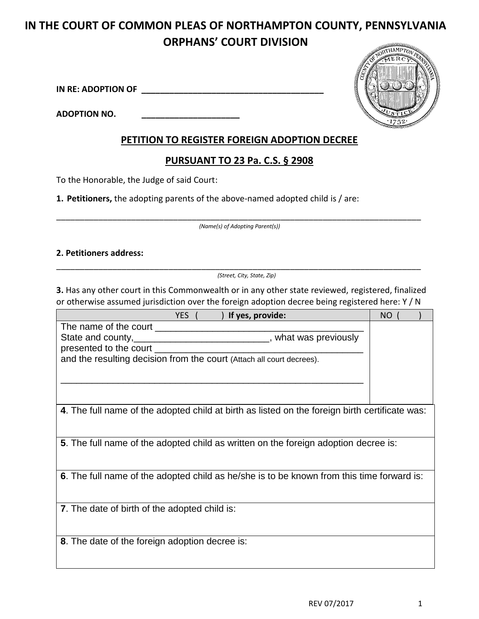# **IN THE COURT OF COMMON PLEAS OF NORTHAMPTON COUNTY, PENNSYLVANIA ORPHANS' COURT DIVISION**

**IN RE: ADOPTION OF \_\_\_\_\_\_\_\_\_\_\_\_\_\_\_\_\_\_\_\_\_\_\_\_\_\_\_\_\_\_\_\_\_\_\_\_\_\_\_** 

**ADOPTION NO. \_\_\_\_\_\_\_\_\_\_\_\_\_\_\_\_\_\_\_\_\_**



## **PETITION TO REGISTER FOREIGN ADOPTION DECREE**

# **PURSUANT TO 23 Pa. C.S. § 2908**

To the Honorable, the Judge of said Court:

**1. Petitioners,** the adopting parents of the above-named adopted child is / are:

\_\_\_\_\_\_\_\_\_\_\_\_\_\_\_\_\_\_\_\_\_\_\_\_\_\_\_\_\_\_\_\_\_\_\_\_\_\_\_\_\_\_\_\_\_\_\_\_\_\_\_\_\_\_\_\_\_\_\_\_\_\_\_\_\_\_\_\_\_\_\_\_\_\_\_\_\_\_  *(Name(s) of Adopting Parent(s))*

#### **2. Petitioners address:**

\_\_\_\_\_\_\_\_\_\_\_\_\_\_\_\_\_\_\_\_\_\_\_\_\_\_\_\_\_\_\_\_\_\_\_\_\_\_\_\_\_\_\_\_\_\_\_\_\_\_\_\_\_\_\_\_\_\_\_\_\_\_\_\_\_\_\_\_\_\_\_\_\_\_\_\_\_\_  *(Street, City, State, Zip)*

**3.** Has any other court in this Commonwealth or in any other state reviewed, registered, finalized or otherwise assumed jurisdiction over the foreign adoption decree being registered here: Y / N

| If yes, provide:<br>YES (                                                                      | NO |
|------------------------------------------------------------------------------------------------|----|
|                                                                                                |    |
| State and county, _______________________________, what was previously                         |    |
| presented to the court                                                                         |    |
| and the resulting decision from the court (Attach all court decrees).                          |    |
|                                                                                                |    |
|                                                                                                |    |
| 4. The full name of the adopted child at birth as listed on the foreign birth certificate was: |    |
| 5. The full name of the adopted child as written on the foreign adoption decree is:            |    |
|                                                                                                |    |
| 6. The full name of the adopted child as he/she is to be known from this time forward is:      |    |
| <b>7.</b> The date of birth of the adopted child is:                                           |    |
| 8. The date of the foreign adoption decree is:                                                 |    |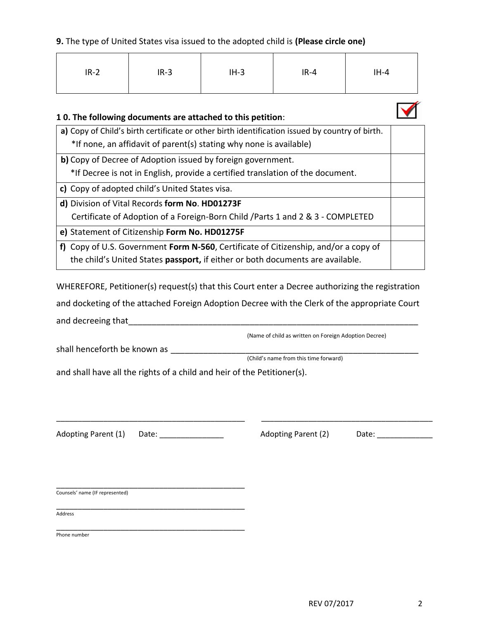#### **9.** The type of United States visa issued to the adopted child is **(Please circle one)**

| $IR-2$ | $IR-3$ | $IH-3$ | $IR-4$ | $IH-4$ |
|--------|--------|--------|--------|--------|
|--------|--------|--------|--------|--------|



#### **1 0. The following documents are attached to this petition**:

| a) Copy of Child's birth certificate or other birth identification issued by country of birth. |  |
|------------------------------------------------------------------------------------------------|--|
| *If none, an affidavit of parent(s) stating why none is available)                             |  |
| b) Copy of Decree of Adoption issued by foreign government.                                    |  |
| *If Decree is not in English, provide a certified translation of the document.                 |  |
| c) Copy of adopted child's United States visa.                                                 |  |
| d) Division of Vital Records form No. HD01273F                                                 |  |
| Certificate of Adoption of a Foreign-Born Child / Parts 1 and 2 & 3 - COMPLETED                |  |
| e) Statement of Citizenship Form No. HD01275F                                                  |  |
| f) Copy of U.S. Government Form N-560, Certificate of Citizenship, and/or a copy of            |  |
| the child's United States passport, if either or both documents are available.                 |  |

WHEREFORE, Petitioner(s) request(s) that this Court enter a Decree authorizing the registration and docketing of the attached Foreign Adoption Decree with the Clerk of the appropriate Court and decreeing that\_\_\_\_\_\_\_\_\_\_\_\_\_\_\_\_\_\_\_\_\_\_\_\_\_\_\_\_\_\_\_\_\_\_\_\_\_\_\_\_\_\_\_\_\_\_\_\_\_\_\_\_\_\_\_\_\_\_\_\_\_\_

\_\_\_\_\_\_\_\_\_\_\_\_\_\_\_\_\_\_\_\_\_\_\_\_\_\_\_\_\_\_\_\_\_\_\_\_\_\_\_\_\_\_\_\_ \_\_\_\_\_\_\_\_\_\_\_\_\_\_\_\_\_\_\_\_\_\_\_\_\_\_\_\_\_\_\_\_\_\_\_\_\_\_\_\_

(Name of child as written on Foreign Adoption Decree)

shall henceforth be known as \_\_\_\_\_\_\_\_\_\_\_\_\_\_\_\_\_\_\_\_\_\_\_\_\_\_\_\_\_\_\_\_\_\_\_\_\_\_\_\_\_\_\_\_\_\_\_\_\_\_\_\_\_

(Child's name from this time forward)

and shall have all the rights of a child and heir of the Petitioner(s).

Adopting Parent (1) Date: \_\_\_\_\_\_\_\_\_\_\_\_\_\_\_\_\_\_ Adopting Parent (2) Date: \_\_\_\_\_\_\_\_\_

\_\_\_\_\_\_\_\_\_\_\_\_\_\_\_\_\_\_\_\_\_\_\_\_\_\_\_\_\_\_\_\_\_\_\_\_\_\_\_\_\_\_\_\_ Counsels' name (IF represented)

\_\_\_\_\_\_\_\_\_\_\_\_\_\_\_\_\_\_\_\_\_\_\_\_\_\_\_\_\_\_\_\_\_\_\_\_\_\_\_\_\_\_\_\_ Address

\_\_\_\_\_\_\_\_\_\_\_\_\_\_\_\_\_\_\_\_\_\_\_\_\_\_\_\_\_\_\_\_\_\_\_\_\_\_\_\_\_\_\_\_ Phone number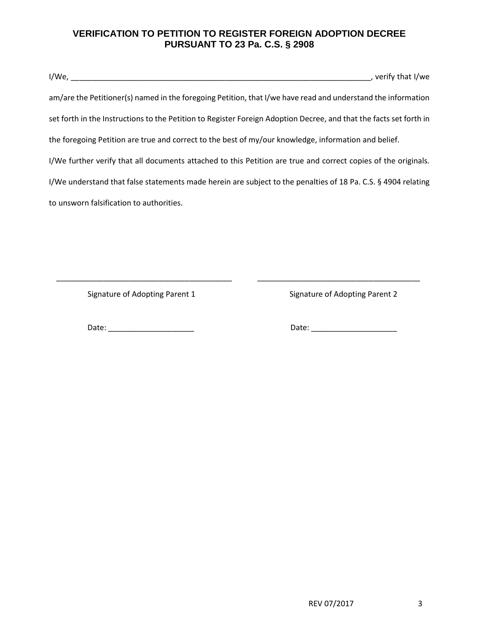## **VERIFICATION TO PETITION TO REGISTER FOREIGN ADOPTION DECREE PURSUANT TO 23 Pa. C.S. § 2908**

| $I/We, \_\_\_\_\_\_\_\_\_\_\_\_\_\_\_\_\_\_\_\_\_\_\_\_\_\_\_\_\_$                                                 | , verify that I/we |
|--------------------------------------------------------------------------------------------------------------------|--------------------|
| am/are the Petitioner(s) named in the foregoing Petition, that I/we have read and understand the information       |                    |
| set forth in the Instructions to the Petition to Register Foreign Adoption Decree, and that the facts set forth in |                    |
| the foregoing Petition are true and correct to the best of my/our knowledge, information and belief.               |                    |
| I/We further verify that all documents attached to this Petition are true and correct copies of the originals.     |                    |
| I/We understand that false statements made herein are subject to the penalties of 18 Pa. C.S. § 4904 relating      |                    |
| to unsworn falsification to authorities.                                                                           |                    |

\_\_\_\_\_\_\_\_\_\_\_\_\_\_\_\_\_\_\_\_\_\_\_\_\_\_\_\_\_\_\_\_\_\_\_\_\_\_\_\_\_ \_\_\_\_\_\_\_\_\_\_\_\_\_\_\_\_\_\_\_\_\_\_\_\_\_\_\_\_\_\_\_\_\_\_\_\_\_\_

Signature of Adopting Parent 1 Signature of Adopting Parent 2

Date: \_\_\_\_\_\_\_\_\_\_\_\_\_\_\_\_\_\_\_\_ Date: \_\_\_\_\_\_\_\_\_\_\_\_\_\_\_\_\_\_\_\_